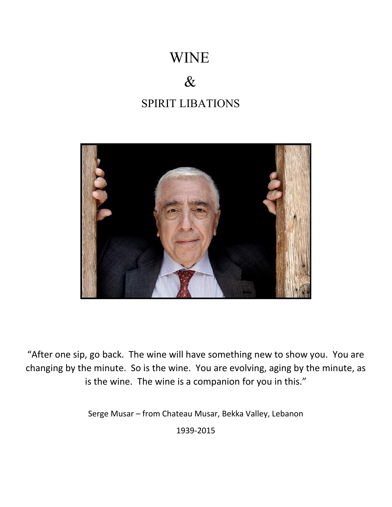# WINE

# & SPIRIT LIBATIONS



"After one sip, go back. The wine will have something new to show you. You are changing by the minute. So is the wine. You are evolving, aging by the minute, as is the wine. The wine is a companion for you in this."

Serge Musar – from Chateau Musar, Bekka Valley, Lebanon

1939-2015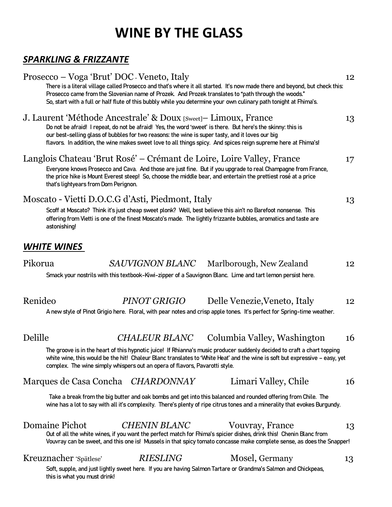## **WINE BY THE GLASS**

#### *SPARKLING & FRIZZANTE*

|         | Prosecco – Voga 'Brut' DOC - Veneto, Italy<br>12<br>There is a literal village called Prosecco and that's where it all started. It's now made there and beyond, but check this:<br>Prosecco came from the Slovenian name of Prozek. And Prozek translates to "path through the woods."<br>So, start with a full or half flute of this bubbly while you determine your own culinary path tonight at Fhima's. |    |  |
|---------|-------------------------------------------------------------------------------------------------------------------------------------------------------------------------------------------------------------------------------------------------------------------------------------------------------------------------------------------------------------------------------------------------------------|----|--|
|         | J. Laurent 'Méthode Ancestrale' & Doux [Sweet] – Limoux, France<br>Do not be afraid! I repeat, do not be afraid! Yes, the word 'sweet' is there. But here's the skinny: this is<br>our best-selling glass of bubbles for two reasons: the wine is super tasty, and it loves our big<br>flavors. In addition, the wine makes sweet love to all things spicy. And spices reign supreme here at Fhima's!       | 13 |  |
|         | Langlois Chateau 'Brut Rosé' – Crémant de Loire, Loire Valley, France<br>Everyone knows Prosecco and Cava. And those are just fine. But if you upgrade to real Champagne from France,<br>the price hike is Mount Everest steep! So, choose the middle bear, and entertain the prettiest rosé at a price<br>that's lightyears from Dom Perignon.                                                             | 17 |  |
|         | Moscato - Vietti D.O.C.G d'Asti, Piedmont, Italy<br>Scoff at Moscato? Think it's just cheap sweet plonk? Well, best believe this ain't no Barefoot nonsense. This<br>offering from Vietti is one of the finest Moscato's made. The lightly frizzante bubbles, aromatics and taste are<br>astonishing!                                                                                                       | 13 |  |
|         | <b>WHITE WINES</b>                                                                                                                                                                                                                                                                                                                                                                                          |    |  |
| Pikorua | <i>SAUVIGNON BLANC</i><br>Marlborough, New Zealand<br>Smack your nostrils with this textbook-Kiwi-zipper of a Sauvignon Blanc. Lime and tart lemon persist here.                                                                                                                                                                                                                                            | 12 |  |
| Renideo | PINOT GRIGIO<br>Delle Venezie, Veneto, Italy<br>A new style of Pinot Grigio here. Floral, with pear notes and crisp apple tones. It's perfect for Spring-time weather.                                                                                                                                                                                                                                      | 12 |  |
| Delille | <b>CHALEUR BLANC</b><br>Columbia Valley, Washington                                                                                                                                                                                                                                                                                                                                                         | 16 |  |
|         | The groove is in the heart of this hypnotic juice! If Rhianna's music producer suddenly decided to craft a chart topping<br>white wine, this would be the hit! Chaleur Blanc translates to 'White Heat' and the wine is soft but expressive - easy, yet<br>complex. The wine simply whispers out an opera of flavors, Pavarotti style.                                                                      |    |  |
|         | Marques de Casa Concha CHARDONNAY<br>Limari Valley, Chile                                                                                                                                                                                                                                                                                                                                                   | 16 |  |
|         | Take a break from the big butter and oak bombs and get into this balanced and rounded offering from Chile. The<br>wine has a lot to say with all it's complexity. There's plenty of ripe citrus tones and a minerality that evokes Burgundy.                                                                                                                                                                |    |  |
|         | Domaine Pichot<br><b>CHENIN BLANC</b><br>Vouvray, France<br>Out of all the white wines, if you want the perfect match for Fhima's spicier dishes, drink this! Chenin Blanc from<br>Vouvray can be sweet, and this one is! Mussels in that spicy tomato concasse make complete sense, as does the Snapper!                                                                                                   | 13 |  |
|         | Kreuznacher 'Spätlese'<br><b>RIESLING</b><br>Mosel, Germany<br>Soft, supple, and just lightly sweet here. If you are having Salmon Tartare or Grandma's Salmon and Chickpeas,<br>this is what you must drink!                                                                                                                                                                                               | 13 |  |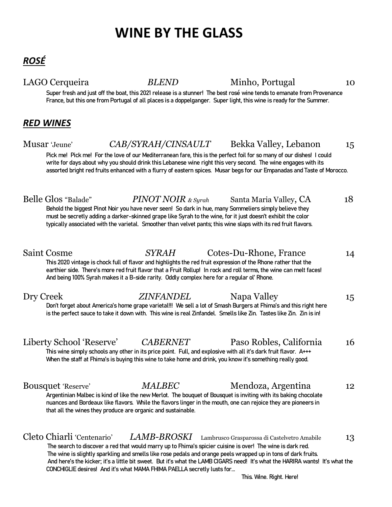# **WINE BY THE GLASS**

LAGO Cerqueira *BLEND* Minho, Portugal 10

Super fresh and just off the boat, this 2021 release is a stunner! The best rosé wine tends to emanate from Provenance France, but this one from Portugal of all places is a doppelganger. Super light, this wine is ready for the Summer.

#### *RED WINES*

| Musar 'Jeune'              | CAB/SYRAH/CINSAULT                                                                                                                                                                                                                                                                                                                                               |                        | Bekka Valley, Lebanon                                                                                                                                                                                                                            | 15 |
|----------------------------|------------------------------------------------------------------------------------------------------------------------------------------------------------------------------------------------------------------------------------------------------------------------------------------------------------------------------------------------------------------|------------------------|--------------------------------------------------------------------------------------------------------------------------------------------------------------------------------------------------------------------------------------------------|----|
|                            | write for days about why you should drink this Lebanese wine right this very second. The wine engages with its                                                                                                                                                                                                                                                   |                        | Pick me! Pick me! For the love of our Mediterranean fare, this is the perfect foil for so many of our dishes! I could<br>assorted bright red fruits enhanced with a flurry of eastern spices. Musar begs for our Empanadas and Taste of Morocco. |    |
| Belle Glos "Balade"        | $PINOTNOIR$ & Syrah<br>Behold the biggest Pinot Noir you have never seen! So dark in hue, many Sommeliers simply believe they<br>must be secretly adding a darker-skinned grape like Syrah to the wine, for it just doesn't exhibit the color<br>typically associated with the varietal. Smoother than velvet pants; this wine slaps with its red fruit flavors. |                        | Santa Maria Valley, CA                                                                                                                                                                                                                           | 18 |
| <b>Saint Cosme</b>         | <b>SYRAH</b><br>This 2020 vintage is chock full of flavor and highlights the red fruit expression of the Rhone rather that the<br>earthier side. There's more red fruit flavor that a Fruit Rollup! In rock and roll terms, the wine can melt faces!<br>And being 100% Syrah makes it a B-side rarity. Oddly complex here for a regular ol' Rhone.               | Cotes-Du-Rhone, France |                                                                                                                                                                                                                                                  | 14 |
| Dry Creek                  | <b>ZINFANDEL</b><br>is the perfect sauce to take it down with. This wine is real Zinfandel. Smells like Zin. Tastes like Zin. Zin is in!                                                                                                                                                                                                                         | Napa Valley            | Don't forget about America's home grape varietal!!! We sell a lot of Smash Burgers at Fhima's and this right here                                                                                                                                | 15 |
| Liberty School 'Reserve'   | <b>CABERNET</b><br>This wine simply schools any other in its price point. Full, and explosive with all it's dark fruit flavor. A+++<br>When the staff at Fhima's is buying this wine to take home and drink, you know it's something really good.                                                                                                                |                        | Paso Robles, California                                                                                                                                                                                                                          | 16 |
| <b>Bousquet 'Reserve'</b>  | <b>MALBEC</b><br>Argentinian Malbec is kind of like the new Merlot. The bouquet of Bousquet is inviting with its baking chocolate<br>nuances and Bordeaux like flavors. While the flavors linger in the mouth, one can rejoice they are pioneers in<br>that all the wines they produce are organic and sustainable.                                              |                        | Mendoza, Argentina                                                                                                                                                                                                                               | 12 |
| Cleto Chiarli 'Centenario' | <b>LAMB-BROSKI</b><br>The search to discover a red that would marry up to Fhima's spicier cuisine is over! The wine is dark red.<br>The wine is slightly sparkling and smells like rose pedals and orange peels wrapped up in tons of dark fruits.<br>CONCHIGLIE desires! And it's what MAMA FHIMA PAELLA secretly lusts for                                     |                        | Lambrusco Grasparossa di Castelvetro Amabile<br>And here's the kicker; it's a little bit sweet. But it's what the LAMB CIGARS need! It's what the HARIRA wants! It's what the                                                                    | 13 |

This. Wine. Right. Here!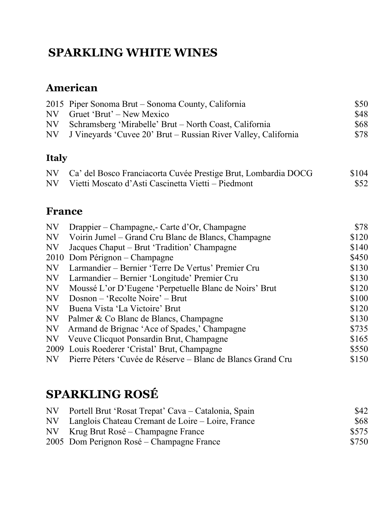## **SPARKLING WHITE WINES**

### **American**

|              | 2015 Piper Sonoma Brut – Sonoma County, California                | \$50 |
|--------------|-------------------------------------------------------------------|------|
|              | NV Gruet 'Brut' – New Mexico                                      | \$48 |
|              | NV Schramsberg 'Mirabelle' Brut – North Coast, California         | \$68 |
|              | NV J Vineyards 'Cuvee 20' Brut – Russian River Valley, California | \$78 |
| <b>Italy</b> |                                                                   |      |

|     | NV Ca' del Bosco Franciacorta Cuvée Prestige Brut, Lombardia DOCG | \$104 |
|-----|-------------------------------------------------------------------|-------|
| N V | Vietti Moscato d'Asti Cascinetta Vietti – Piedmont                | \$52  |

### **France**

| NV        | Drappier – Champagne, - Carte d'Or, Champagne               | \$78  |
|-----------|-------------------------------------------------------------|-------|
| NV        | Voirin Jumel – Grand Cru Blanc de Blancs, Champagne         | \$120 |
| <b>NV</b> | Jacques Chaput – Brut 'Tradition' Champagne                 | \$140 |
|           | 2010 Dom Pérignon – Champagne                               | \$450 |
| <b>NV</b> | Larmandier – Bernier 'Terre De Vertus' Premier Cru          | \$130 |
| NV        | Larmandier – Bernier 'Longitude' Premier Cru                | \$130 |
| NV        | Moussé L'or D'Eugene 'Perpetuelle Blanc de Noirs' Brut      | \$120 |
| NV        | Dosnon – 'Recolte Noire' – Brut                             | \$100 |
| <b>NV</b> | Buena Vista 'La Victoire' Brut                              | \$120 |
| NV        | Palmer & Co Blanc de Blancs, Champagne                      | \$130 |
| NV        | Armand de Brignac 'Ace of Spades,' Champagne                | \$735 |
| <b>NV</b> | Veuve Clicquot Ponsardin Brut, Champagne                    | \$165 |
|           | 2009 Louis Roederer 'Cristal' Brut, Champagne               | \$550 |
| NV        | Pierre Péters 'Cuvée de Réserve – Blanc de Blancs Grand Cru | \$150 |

## **SPARKLING ROSÉ**

| NV | Portell Brut 'Rosat Trepat' Cava – Catalonia, Spain  | \$42  |
|----|------------------------------------------------------|-------|
|    | NV Langlois Chateau Cremant de Loire – Loire, France | \$68  |
|    | NV Krug Brut Rosé – Champagne France                 | \$575 |
|    | 2005 Dom Perignon Rosé – Champagne France            | \$750 |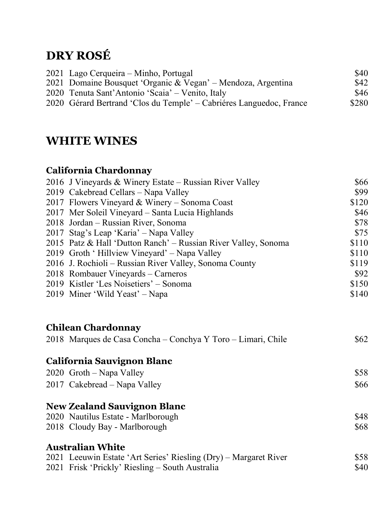## **DRY ROSÉ**

| 2021 Lago Cerqueira – Minho, Portugal                               | \$40  |
|---------------------------------------------------------------------|-------|
| 2021 Domaine Bousquet 'Organic & Vegan' – Mendoza, Argentina        | \$42  |
| 2020 Tenuta Sant'Antonio 'Scaia' – Venito, Italy                    | \$46  |
| 2020 Gérard Bertrand 'Clos du Temple' – Cabriéres Languedoc, France | \$280 |

## **WHITE WINES**

#### **California Chardonnay**

| 2016 J Vineyards & Winery Estate – Russian River Valley                                   | \$66  |
|-------------------------------------------------------------------------------------------|-------|
| 2019 Cakebread Cellars - Napa Valley                                                      | \$99  |
| 2017 Flowers Vineyard & Winery - Sonoma Coast                                             | \$120 |
| 2017 Mer Soleil Vineyard – Santa Lucia Highlands                                          | \$46  |
| 2018 Jordan – Russian River, Sonoma                                                       | \$78  |
| 2017 Stag's Leap 'Karia' - Napa Valley                                                    | \$75  |
| 2015 Patz & Hall 'Dutton Ranch' – Russian River Valley, Sonoma                            | \$110 |
| 2019 Groth 'Hillview Vineyard' – Napa Valley                                              | \$110 |
| 2016 J. Rochioli – Russian River Valley, Sonoma County                                    | \$119 |
| 2018 Rombauer Vineyards – Carneros                                                        | \$92  |
| 2019 Kistler 'Les Noisetiers' – Sonoma                                                    | \$150 |
| 2019 Miner 'Wild Yeast' – Napa                                                            | \$140 |
| <b>Chilean Chardonnay</b><br>2018 Marques de Casa Concha - Conchya Y Toro - Limari, Chile | \$62  |
| <b>California Sauvignon Blanc</b>                                                         |       |
| 2020 Groth - Napa Valley                                                                  | \$58  |
| 2017 Cakebread – Napa Valley                                                              | \$66  |
| <b>New Zealand Sauvignon Blanc</b>                                                        |       |
| 2020 Nautilus Estate - Marlborough                                                        | \$48  |
| 2018 Cloudy Bay - Marlborough                                                             | \$68  |
| <b>Australian White</b>                                                                   |       |
| 2021 Leeuwin Estate 'Art Series' Riesling (Dry) – Margaret River                          | \$58  |
| 2021 Frisk 'Prickly' Riesling – South Australia                                           | \$40  |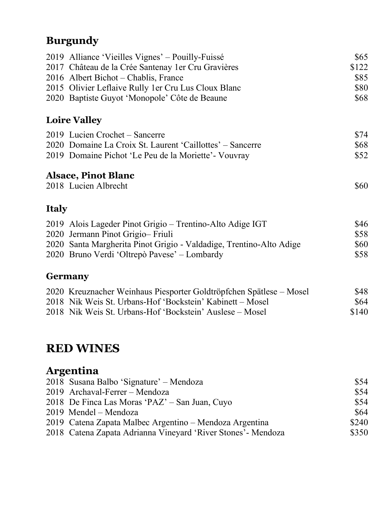## **Burgundy**

|              | 2019 Alliance 'Vieilles Vignes' – Pouilly-Fuissé<br>2017 Château de la Crée Santenay 1 er Cru Gravières<br>2016 Albert Bichot – Chablis, France<br>2015 Olivier Leflaive Rully 1 er Cru Lus Cloux Blanc<br>2020 Baptiste Guyot 'Monopole' Côte de Beaune | \$65<br>\$122<br>\$85<br>\$80<br>\$68 |
|--------------|----------------------------------------------------------------------------------------------------------------------------------------------------------------------------------------------------------------------------------------------------------|---------------------------------------|
|              | <b>Loire Valley</b>                                                                                                                                                                                                                                      |                                       |
|              | 2019 Lucien Crochet – Sancerre<br>2020 Domaine La Croix St. Laurent 'Caillottes' – Sancerre<br>2019 Domaine Pichot 'Le Peu de la Moriette' - Vouvray                                                                                                     | \$74<br>\$68<br>\$52                  |
|              | <b>Alsace, Pinot Blanc</b><br>2018 Lucien Albrecht                                                                                                                                                                                                       | \$60                                  |
| <b>Italy</b> |                                                                                                                                                                                                                                                          |                                       |
|              | 2019 Alois Lageder Pinot Grigio – Trentino-Alto Adige IGT<br>2020 Jermann Pinot Grigio-Friuli<br>2020 Santa Margherita Pinot Grigio - Valdadige, Trentino-Alto Adige<br>2020 Bruno Verdi 'Oltrepò Pavese' – Lombardy                                     | \$46<br>\$58<br>\$60<br>\$58          |
|              | <b>Germany</b>                                                                                                                                                                                                                                           |                                       |
|              | 2020 Kreuznacher Weinhaus Piesporter Goldtröpfchen Spätlese – Mosel<br>2018 Nik Weis St. Urbans-Hof 'Bockstein' Kabinett – Mosel<br>2018 Nik Weis St. Urbans-Hof 'Bockstein' Auslese – Mosel                                                             | \$48<br>\$64<br>\$140                 |

## **RED WINES**

### **Argentina**

| 2018 Susana Balbo 'Signature' – Mendoza                       | \$54  |
|---------------------------------------------------------------|-------|
| 2019 Archaval-Ferrer – Mendoza                                | \$54  |
| 2018 De Finca Las Moras 'PAZ' – San Juan, Cuyo                | \$54  |
| 2019 Mendel – Mendoza                                         | \$64  |
| 2019 Catena Zapata Malbec Argentino – Mendoza Argentina       | \$240 |
| 2018 Catena Zapata Adrianna Vineyard 'River Stones' - Mendoza | \$350 |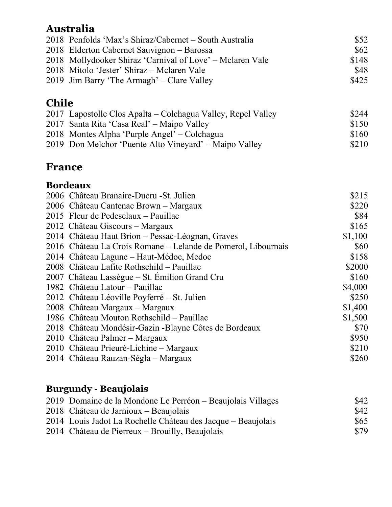### **Australia**

| 2018 Penfolds 'Max's Shiraz/Cabernet – South Australia    | \$52  |
|-----------------------------------------------------------|-------|
| 2018 Elderton Cabernet Sauvignon – Barossa                | \$62  |
| 2018 Mollydooker Shiraz 'Carnival of Love' – Mclaren Vale | \$148 |
| 2018 Mitolo 'Jester' Shiraz – Mclaren Vale                | \$48  |
| 2019 Jim Barry 'The Armagh' – Clare Valley                | \$425 |

### **Chile**

| 2017 Lapostolle Clos Apalta – Colchagua Valley, Repel Valley | \$244 |
|--------------------------------------------------------------|-------|
| 2017 Santa Rita 'Casa Real' – Maipo Valley                   | \$150 |
| 2018 Montes Alpha 'Purple Angel' – Colchagua                 | \$160 |
| 2019 Don Melchor 'Puente Alto Vineyard' – Maipo Valley       | \$210 |

### **France**

#### **Bordeaux**

| 2006 Château Branaire-Ducru - St. Julien                      | \$215   |
|---------------------------------------------------------------|---------|
| 2006 Château Cantenac Brown - Margaux                         | \$220   |
| 2015 Fleur de Pedesclaux - Pauillac                           | \$84    |
| 2012 Château Giscours – Margaux                               | \$165   |
| 2014 Château Haut Brion – Pessac-Léognan, Graves              | \$1,100 |
| 2016 Château La Crois Romane – Lelande de Pomerol, Libournais | \$60    |
| 2014 Château Lagune – Haut-Médoc, Medoc                       | \$158   |
| 2008 Château Lafite Rothschild – Pauillac                     | \$2000  |
| 2007 Château Lassègue – St. Emilion Grand Cru                 | \$160   |
| 1982 Château Latour – Pauillac                                | \$4,000 |
| 2012 Château Léoville Poyferré – St. Julien                   | \$250   |
| 2008 Château Margaux – Margaux                                | \$1,400 |
| 1986 Château Mouton Rothschild – Pauillac                     | \$1,500 |
| 2018 Château Mondésir-Gazin - Blayne Côtes de Bordeaux        | \$70    |
| 2010 Château Palmer – Margaux                                 | \$950   |
| 2010 Château Prieuré-Lichine – Margaux                        | \$210   |
| 2014 Château Rauzan-Ségla – Margaux                           | \$260   |
|                                                               |         |

### **Burgundy - Beaujolais**

| 2019 Domaine de la Mondone Le Perréon – Beaujolais Villages  | \$42 |
|--------------------------------------------------------------|------|
| 2018 Château de Jarnioux – Beaujolais                        | \$42 |
| 2014 Louis Jadot La Rochelle Cháteau des Jacque – Beaujolais | \$65 |
| 2014 Cháteau de Pierreux – Brouilly, Beaujolais              | \$79 |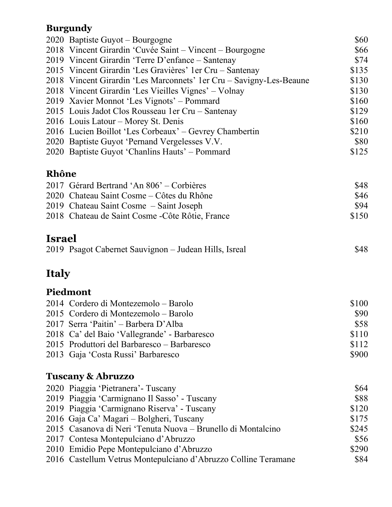#### **Burgundy**

|               | 2020 Baptiste Guyot – Bourgogne<br>2018 Vincent Girardin 'Cuvée Saint - Vincent - Bourgogne<br>2019 Vincent Girardin 'Terre D'enfance – Santenay<br>2015 Vincent Girardin 'Les Gravières' 1 er Cru – Santenay<br>2018 Vincent Girardin 'Les Marconnets' 1er Cru – Savigny-Les-Beaune<br>2018 Vincent Girardin 'Les Vieilles Vignes' – Volnay<br>2019 Xavier Monnot 'Les Vignots' – Pommard<br>2015 Louis Jadot Clos Rousseau 1 er Cru – Santenay<br>2016 Louis Latour – Morey St. Denis<br>2016 Lucien Boillot 'Les Corbeaux' – Gevrey Chambertin<br>2020 Baptiste Guyot 'Pernand Vergelesses V.V.<br>2020 Baptiste Guyot 'Chanlins Hauts' – Pommard | \$60<br>\$66<br>\$74<br>\$135<br>\$130<br>\$130<br>\$160<br>\$129<br>\$160<br>\$210<br>\$80<br>\$125 |
|---------------|------------------------------------------------------------------------------------------------------------------------------------------------------------------------------------------------------------------------------------------------------------------------------------------------------------------------------------------------------------------------------------------------------------------------------------------------------------------------------------------------------------------------------------------------------------------------------------------------------------------------------------------------------|------------------------------------------------------------------------------------------------------|
| Rhône         |                                                                                                                                                                                                                                                                                                                                                                                                                                                                                                                                                                                                                                                      |                                                                                                      |
|               | 2017 Gérard Bertrand 'An 806' – Corbières<br>2020 Chateau Saint Cosme – Côtes du Rhône<br>2019 Chateau Saint Cosme – Saint Joseph<br>2018 Chateau de Saint Cosme - Côte Rôtie, France                                                                                                                                                                                                                                                                                                                                                                                                                                                                | \$48<br>\$46<br>\$94<br>\$150                                                                        |
| <b>Israel</b> |                                                                                                                                                                                                                                                                                                                                                                                                                                                                                                                                                                                                                                                      |                                                                                                      |
|               | 2019 Psagot Cabernet Sauvignon – Judean Hills, Isreal                                                                                                                                                                                                                                                                                                                                                                                                                                                                                                                                                                                                | \$48                                                                                                 |
| <b>Italy</b>  |                                                                                                                                                                                                                                                                                                                                                                                                                                                                                                                                                                                                                                                      |                                                                                                      |
|               | Piedmont                                                                                                                                                                                                                                                                                                                                                                                                                                                                                                                                                                                                                                             |                                                                                                      |
|               | 2014 Cordero di Montezemolo – Barolo<br>2015 Cordero di Montezemolo - Barolo<br>2017 Serra 'Paitin' – Barbera D'Alba<br>2018 Ca' del Baio 'Vallegrande' - Barbaresco<br>2015 Produttori del Barbaresco – Barbaresco<br>2013 Gaja 'Costa Russi' Barbaresco                                                                                                                                                                                                                                                                                                                                                                                            | \$100<br>\$90<br>\$58<br>\$110<br>\$112<br>\$900                                                     |
|               | <b>Tuscany &amp; Abruzzo</b>                                                                                                                                                                                                                                                                                                                                                                                                                                                                                                                                                                                                                         |                                                                                                      |
|               | 2020 Piaggia 'Pietranera' - Tuscany<br>2019 Piaggia 'Carmignano Il Sasso' - Tuscany<br>2019 Piaggia 'Carmignano Riserva' - Tuscany<br>2016 Gaja Ca' Magari – Bolgheri, Tuscany<br>2015 Casanova di Neri 'Tenuta Nuova – Brunello di Montalcino<br>2017 Contesa Montepulciano d'Abruzzo<br>2010 Emidio Pepe Montepulciano d'Abruzzo<br>2016 Castellum Vetrus Montepulciano d'Abruzzo Colline Teramane                                                                                                                                                                                                                                                 | \$64<br>\$88<br>\$120<br>\$175<br>\$245<br>\$56<br>\$290<br>\$84                                     |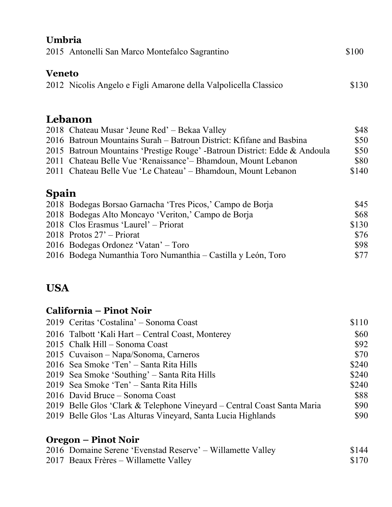| Umbria        |                                                                           |       |
|---------------|---------------------------------------------------------------------------|-------|
|               | 2015 Antonelli San Marco Montefalco Sagrantino                            | \$100 |
| <b>Veneto</b> |                                                                           |       |
|               | 2012 Nicolis Angelo e Figli Amarone della Valpolicella Classico           | \$130 |
|               | Lebanon                                                                   |       |
|               | 2018 Chateau Musar 'Jeune Red' – Bekaa Valley                             | \$48  |
|               | 2016 Batroun Mountains Surah – Batroun District: Kfifane and Basbina      | \$50  |
|               | 2015 Batroun Mountains 'Prestige Rouge' -Batroun District: Edde & Andoula | \$50  |
|               | 2011 Chateau Belle Vue 'Renaissance' – Bhamdoun, Mount Lebanon            | \$80  |
|               | 2011 Chateau Belle Vue 'Le Chateau' – Bhamdoun, Mount Lebanon             | \$140 |
| <b>Spain</b>  |                                                                           |       |
|               | 2018 Bodegas Borsao Garnacha 'Tres Picos,' Campo de Borja                 | \$45  |
|               | 2018 Bodegas Alto Moncayo 'Veriton,' Campo de Borja                       | \$68  |
|               | 2018 Clos Erasmus 'Laurel' – Priorat                                      | \$130 |
|               | 2018 Protos 27' – Priorat                                                 | \$76  |
|               | 2016 Bodegas Ordonez 'Vatan' - Toro                                       | \$98  |
|               | 2016 Bodega Numanthia Toro Numanthia – Castilla y León, Toro              | \$77  |
| <b>USA</b>    |                                                                           |       |
|               | <b>California – Pinot Noir</b>                                            |       |
|               | 2019 Ceritas 'Costalina' – Sonoma Coast                                   | \$110 |

| 2019 Ceritas 'Costalina' – Sonoma Coast                                 | \$110 |
|-------------------------------------------------------------------------|-------|
| 2016 Talbott 'Kali Hart – Central Coast, Monterey                       | \$60  |
| 2015 Chalk Hill – Sonoma Coast                                          | \$92  |
| 2015 Cuvaison – Napa/Sonoma, Carneros                                   | \$70  |
| 2016 Sea Smoke 'Ten' - Santa Rita Hills                                 | \$240 |
| 2019 Sea Smoke 'Southing' – Santa Rita Hills                            | \$240 |
| 2019 Sea Smoke 'Ten' – Santa Rita Hills                                 | \$240 |
| 2016 David Bruce – Sonoma Coast                                         | \$88  |
| 2019 Belle Glos 'Clark & Telephone Vineyard – Central Coast Santa Maria | \$90  |
| 2019 Belle Glos 'Las Alturas Vineyard, Santa Lucia Highlands            | \$90  |
|                                                                         |       |

### **Oregon – Pinot Noir**

| 2016 Domaine Serene 'Evenstad Reserve' – Willamette Valley | \$144 |
|------------------------------------------------------------|-------|
| 2017 Beaux Frères – Willamette Valley                      | \$170 |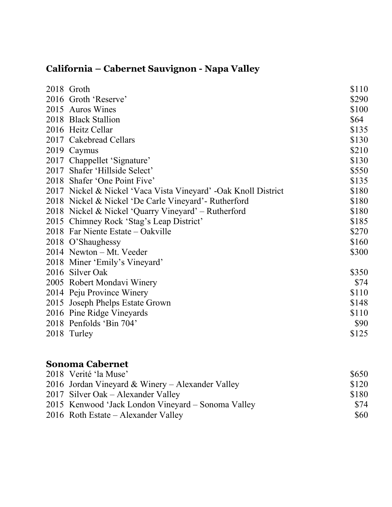### **California – Cabernet Sauvignon - Napa Valley**

| 2018 Groth                                                     | \$110 |
|----------------------------------------------------------------|-------|
| 2016 Groth 'Reserve'                                           | \$290 |
| 2015 Auros Wines                                               | \$100 |
| 2018 Black Stallion                                            | \$64  |
| 2016 Heitz Cellar                                              | \$135 |
| 2017 Cakebread Cellars                                         | \$130 |
| 2019 Caymus                                                    | \$210 |
| 2017 Chappellet 'Signature'                                    | \$130 |
| 2017 Shafer 'Hillside Select'                                  | \$550 |
| 2018 Shafer 'One Point Five'                                   | \$135 |
| 2017 Nickel & Nickel 'Vaca Vista Vineyard' -Oak Knoll District | \$180 |
| 2018 Nickel & Nickel 'De Carle Vineyard' - Rutherford          | \$180 |
| 2018 Nickel & Nickel 'Quarry Vineyard' – Rutherford            | \$180 |
| 2015 Chimney Rock 'Stag's Leap District'                       | \$185 |
| 2018 Far Niente Estate – Oakville                              | \$270 |
| 2018 O'Shaughessy                                              | \$160 |
| 2014 Newton – Mt. Veeder                                       | \$300 |
| 2018 Miner 'Emily's Vineyard'                                  |       |
| 2016 Silver Oak                                                | \$350 |
| 2005 Robert Mondavi Winery                                     | \$74  |
| 2014 Peju Province Winery                                      | \$110 |
| 2015 Joseph Phelps Estate Grown                                | \$148 |
| 2016 Pine Ridge Vineyards                                      | \$110 |
| 2018 Penfolds 'Bin 704'                                        | \$90  |
| 2018 Turley                                                    | \$125 |
|                                                                |       |
| <b>Sonoma Cabernet</b>                                         |       |

| 2018 Verité 'la Muse'                              | \$650 |
|----------------------------------------------------|-------|
| 2016 Jordan Vineyard & Winery – Alexander Valley   | \$120 |
| 2017 Silver Oak – Alexander Valley                 | \$180 |
| 2015 Kenwood 'Jack London Vineyard – Sonoma Valley | \$74  |
| $2016$ Roth Estate – Alexander Valley              | \$60  |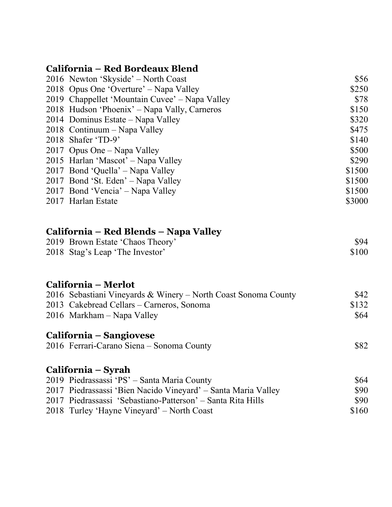#### **California – Red Bordeaux Blend**

| 2016 Newton 'Skyside' – North Coast                            | \$56   |
|----------------------------------------------------------------|--------|
| 2018 Opus One 'Overture' – Napa Valley                         | \$250  |
| 2019 Chappellet 'Mountain Cuvee' – Napa Valley                 | \$78   |
| 2018 Hudson 'Phoenix' – Napa Vally, Carneros                   | \$150  |
| 2014 Dominus Estate – Napa Valley                              | \$320  |
| 2018 Continuum – Napa Valley                                   | \$475  |
| 2018 Shafer 'TD-9'                                             | \$140  |
| 2017 Opus One – Napa Valley                                    | \$500  |
| 2015 Harlan 'Mascot' – Napa Valley                             | \$290  |
| 2017 Bond 'Quella' – Napa Valley                               | \$1500 |
| 2017 Bond 'St. Eden' – Napa Valley                             | \$1500 |
| 2017 Bond 'Vencia' – Napa Valley                               | \$1500 |
| 2017 Harlan Estate                                             | \$3000 |
| California – Red Blends – Napa Valley                          |        |
| 2019 Brown Estate 'Chaos Theory'                               | \$94   |
| 2018 Stag's Leap 'The Investor'                                | \$100  |
| California – Merlot                                            |        |
| 2016 Sebastiani Vineyards & Winery – North Coast Sonoma County | \$42   |
| 2013 Cakebread Cellars – Carneros, Sonoma                      | \$132  |
| 2016 Markham – Napa Valley                                     | \$64   |
| California - Sangiovese                                        |        |
| 2016 Ferrari-Carano Siena - Sonoma County                      | \$82   |
| California – Syrah                                             |        |
| 2019 Piedrassassi 'PS' – Santa Maria County                    | \$64   |
| 2017 Piedrassassi 'Bien Nacido Vineyard' – Santa Maria Valley  | \$90   |
| 2017 Piedrassassi 'Sebastiano-Patterson' – Santa Rita Hills    | \$90   |
| 2018 Turley 'Hayne Vineyard' – North Coast                     | \$160  |